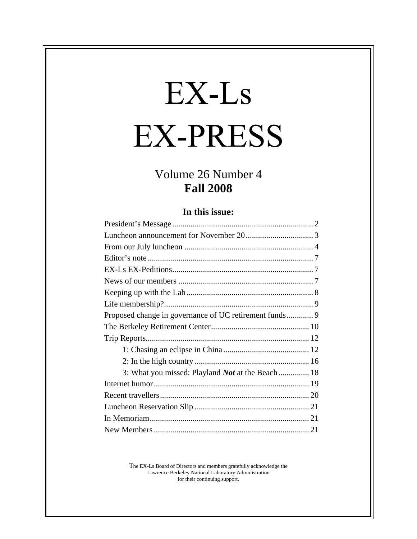# EX-Ls **EX-PRESS**

## Volume 26 Number 4 **Fall 2008**

#### **In this issue:**

| Proposed change in governance of UC retirement funds 9   |  |
|----------------------------------------------------------|--|
|                                                          |  |
|                                                          |  |
|                                                          |  |
|                                                          |  |
| 3: What you missed: Playland <i>Not</i> at the Beach  18 |  |
|                                                          |  |
|                                                          |  |
|                                                          |  |
|                                                          |  |
|                                                          |  |

The EX-Ls Board of Directors and members gratefully acknowledge the Lawrence Berkeley National Laboratory Administration for their continuing support.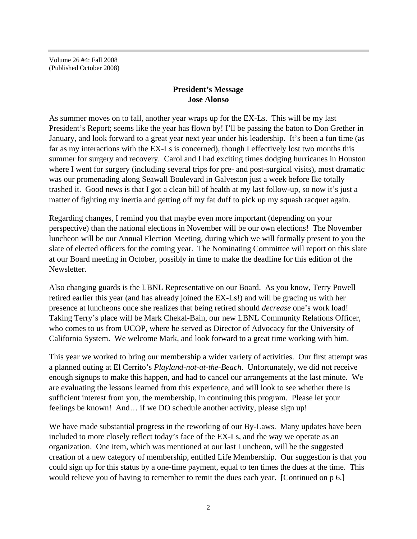Volume 26 #4: Fall 2008 (Published October 2008)

#### **President's Message Jose Alonso**

As summer moves on to fall, another year wraps up for the EX-Ls. This will be my last President's Report; seems like the year has flown by! I'll be passing the baton to Don Grether in January, and look forward to a great year next year under his leadership. It's been a fun time (as far as my interactions with the EX-Ls is concerned), though I effectively lost two months this summer for surgery and recovery. Carol and I had exciting times dodging hurricanes in Houston where I went for surgery (including several trips for pre- and post-surgical visits), most dramatic was our promenading along Seawall Boulevard in Galveston just a week before Ike totally trashed it. Good news is that I got a clean bill of health at my last follow-up, so now it's just a matter of fighting my inertia and getting off my fat duff to pick up my squash racquet again.

Regarding changes, I remind you that maybe even more important (depending on your perspective) than the national elections in November will be our own elections! The November luncheon will be our Annual Election Meeting, during which we will formally present to you the slate of elected officers for the coming year. The Nominating Committee will report on this slate at our Board meeting in October, possibly in time to make the deadline for this edition of the Newsletter.

Also changing guards is the LBNL Representative on our Board. As you know, Terry Powell retired earlier this year (and has already joined the EX-Ls!) and will be gracing us with her presence at luncheons once she realizes that being retired should *decrease* one's work load! Taking Terry's place will be Mark Chekal-Bain, our new LBNL Community Relations Officer, who comes to us from UCOP, where he served as Director of Advocacy for the University of California System. We welcome Mark, and look forward to a great time working with him.

This year we worked to bring our membership a wider variety of activities. Our first attempt was a planned outing at El Cerrito's *Playland-not-at-the-Beach*. Unfortunately, we did not receive enough signups to make this happen, and had to cancel our arrangements at the last minute. We are evaluating the lessons learned from this experience, and will look to see whether there is sufficient interest from you, the membership, in continuing this program. Please let your feelings be known! And… if we DO schedule another activity, please sign up!

We have made substantial progress in the reworking of our By-Laws. Many updates have been included to more closely reflect today's face of the EX-Ls, and the way we operate as an organization. One item, which was mentioned at our last Luncheon, will be the suggested creation of a new category of membership, entitled Life Membership. Our suggestion is that you could sign up for this status by a one-time payment, equal to ten times the dues at the time. This would relieve you of having to remember to remit the dues each year. [Continued on p 6.]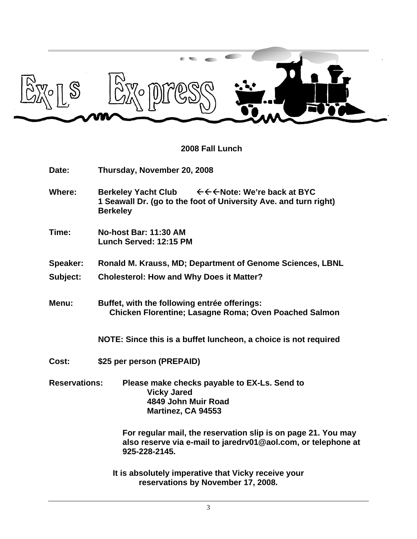

#### **2008 Fall Lunch**

| Date:                | Thursday, November 20, 2008                                                                                                                     |
|----------------------|-------------------------------------------------------------------------------------------------------------------------------------------------|
| <b>Where:</b>        | <b>Berkeley Yacht Club</b><br>←←←Note: We're back at BYC<br>1 Seawall Dr. (go to the foot of University Ave. and turn right)<br><b>Berkeley</b> |
| Time:                | No-host Bar: 11:30 AM<br>Lunch Served: 12:15 PM                                                                                                 |
| <b>Speaker:</b>      | Ronald M. Krauss, MD; Department of Genome Sciences, LBNL                                                                                       |
| Subject:             | <b>Cholesterol: How and Why Does it Matter?</b>                                                                                                 |
| Menu:                | Buffet, with the following entrée offerings:<br>Chicken Florentine; Lasagne Roma; Oven Poached Salmon                                           |
|                      | NOTE: Since this is a buffet luncheon, a choice is not required                                                                                 |
| Cost:                | \$25 per person (PREPAID)                                                                                                                       |
| <b>Reservations:</b> | Please make checks payable to EX-Ls. Send to<br><b>Vicky Jared</b><br>4849 John Muir Road<br>Martinez, CA 94553                                 |
|                      | For regular mail, the reservation slip is on page 21. You may<br>also reserve via e-mail to jaredrv01@aol.com, or telephone at<br>925-228-2145. |
|                      | It is absolutely imperative that Vicky receive your                                                                                             |

**reservations by November 17, 2008.**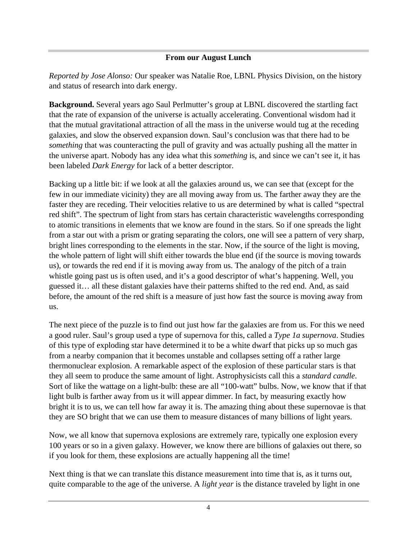#### **From our August Lunch**

*Reported by Jose Alonso:* Our speaker was Natalie Roe, LBNL Physics Division, on the history and status of research into dark energy.

**Background.** Several years ago Saul Perlmutter's group at LBNL discovered the startling fact that the rate of expansion of the universe is actually accelerating. Conventional wisdom had it that the mutual gravitational attraction of all the mass in the universe would tug at the receding galaxies, and slow the observed expansion down. Saul's conclusion was that there had to be *something* that was counteracting the pull of gravity and was actually pushing all the matter in the universe apart. Nobody has any idea what this *something* is, and since we can't see it, it has been labeled *Dark Energy* for lack of a better descriptor.

Backing up a little bit: if we look at all the galaxies around us, we can see that (except for the few in our immediate vicinity) they are all moving away from us. The farther away they are the faster they are receding. Their velocities relative to us are determined by what is called "spectral red shift". The spectrum of light from stars has certain characteristic wavelengths corresponding to atomic transitions in elements that we know are found in the stars. So if one spreads the light from a star out with a prism or grating separating the colors, one will see a pattern of very sharp, bright lines corresponding to the elements in the star. Now, if the source of the light is moving, the whole pattern of light will shift either towards the blue end (if the source is moving towards us), or towards the red end if it is moving away from us. The analogy of the pitch of a train whistle going past us is often used, and it's a good descriptor of what's happening. Well, you guessed it… all these distant galaxies have their patterns shifted to the red end. And, as said before, the amount of the red shift is a measure of just how fast the source is moving away from us.

The next piece of the puzzle is to find out just how far the galaxies are from us. For this we need a good ruler. Saul's group used a type of supernova for this, called a *Type 1a supernova*. Studies of this type of exploding star have determined it to be a white dwarf that picks up so much gas from a nearby companion that it becomes unstable and collapses setting off a rather large thermonuclear explosion. A remarkable aspect of the explosion of these particular stars is that they all seem to produce the same amount of light. Astrophysicists call this a *standard candle*. Sort of like the wattage on a light-bulb: these are all "100-watt" bulbs. Now, we know that if that light bulb is farther away from us it will appear dimmer. In fact, by measuring exactly how bright it is to us, we can tell how far away it is. The amazing thing about these supernovae is that they are SO bright that we can use them to measure distances of many billions of light years.

Now, we all know that supernova explosions are extremely rare, typically one explosion every 100 years or so in a given galaxy. However, we know there are billions of galaxies out there, so if you look for them, these explosions are actually happening all the time!

Next thing is that we can translate this distance measurement into time that is, as it turns out, quite comparable to the age of the universe. A *light year* is the distance traveled by light in one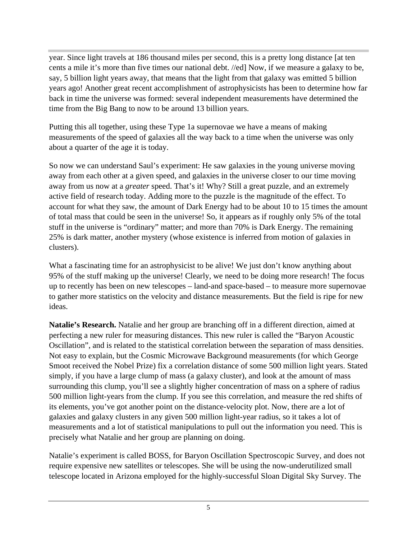year. Since light travels at 186 thousand miles per second, this is a pretty long distance [at ten cents a mile it's more than five times our national debt. //ed] Now, if we measure a galaxy to be, say, 5 billion light years away, that means that the light from that galaxy was emitted 5 billion years ago! Another great recent accomplishment of astrophysicists has been to determine how far back in time the universe was formed: several independent measurements have determined the time from the Big Bang to now to be around 13 billion years.

Putting this all together, using these Type 1a supernovae we have a means of making measurements of the speed of galaxies all the way back to a time when the universe was only about a quarter of the age it is today.

So now we can understand Saul's experiment: He saw galaxies in the young universe moving away from each other at a given speed, and galaxies in the universe closer to our time moving away from us now at a *greater* speed. That's it! Why? Still a great puzzle, and an extremely active field of research today. Adding more to the puzzle is the magnitude of the effect. To account for what they saw, the amount of Dark Energy had to be about 10 to 15 times the amount of total mass that could be seen in the universe! So, it appears as if roughly only 5% of the total stuff in the universe is "ordinary" matter; and more than 70% is Dark Energy. The remaining 25% is dark matter, another mystery (whose existence is inferred from motion of galaxies in clusters).

What a fascinating time for an astrophysicist to be alive! We just don't know anything about 95% of the stuff making up the universe! Clearly, we need to be doing more research! The focus up to recently has been on new telescopes – land-and space-based – to measure more supernovae to gather more statistics on the velocity and distance measurements. But the field is ripe for new ideas.

**Natalie's Research.** Natalie and her group are branching off in a different direction, aimed at perfecting a new ruler for measuring distances. This new ruler is called the "Baryon Acoustic Oscillation", and is related to the statistical correlation between the separation of mass densities. Not easy to explain, but the Cosmic Microwave Background measurements (for which George Smoot received the Nobel Prize) fix a correlation distance of some 500 million light years. Stated simply, if you have a large clump of mass (a galaxy cluster), and look at the amount of mass surrounding this clump, you'll see a slightly higher concentration of mass on a sphere of radius 500 million light-years from the clump. If you see this correlation, and measure the red shifts of its elements, you've got another point on the distance-velocity plot. Now, there are a lot of galaxies and galaxy clusters in any given 500 million light-year radius, so it takes a lot of measurements and a lot of statistical manipulations to pull out the information you need. This is precisely what Natalie and her group are planning on doing.

Natalie's experiment is called BOSS, for Baryon Oscillation Spectroscopic Survey, and does not require expensive new satellites or telescopes. She will be using the now-underutilized small telescope located in Arizona employed for the highly-successful Sloan Digital Sky Survey. The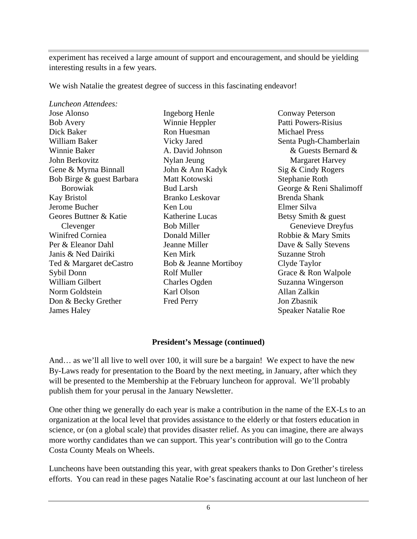experiment has received a large amount of support and encouragement, and should be yielding interesting results in a few years.

We wish Natalie the greatest degree of success in this fascinating endeavor!

| Luncheon Attendees:       |                       |                            |
|---------------------------|-----------------------|----------------------------|
| Jose Alonso               | <b>Ingeborg Henle</b> | <b>Conway Peterson</b>     |
| <b>Bob Avery</b>          | Winnie Heppler        | Patti Powers-Risius        |
| Dick Baker                | Ron Huesman           | <b>Michael Press</b>       |
| William Baker             | Vicky Jared           | Senta Pugh-Chamberlain     |
| Winnie Baker              | A. David Johnson      | $&$ Guests Bernard $&$     |
| John Berkovitz            | Nylan Jeung           | <b>Margaret Harvey</b>     |
| Gene & Myrna Binnall      | John & Ann Kadyk      | Sig & Cindy Rogers         |
| Bob Birge & guest Barbara | Matt Kotowski         | Stephanie Roth             |
| <b>B</b> orowiak          | <b>Bud Larsh</b>      | George & Reni Shalimoff    |
| Kay Bristol               | Branko Leskovar       | Brenda Shank               |
| Jerome Bucher             | Ken Lou               | Elmer Silva                |
| Geores Buttner & Katie    | Katherine Lucas       | Betsy Smith & guest        |
| Clevenger                 | <b>Bob Miller</b>     | Genevieve Dreyfus          |
| Winifred Corniea          | Donald Miller         | Robbie & Mary Smits        |
| Per & Eleanor Dahl        | Jeanne Miller         | Dave & Sally Stevens       |
| Janis & Ned Dairiki       | Ken Mirk              | Suzanne Stroh              |
| Ted & Margaret deCastro   | Bob & Jeanne Mortiboy | Clyde Taylor               |
| Sybil Donn                | Rolf Muller           | Grace & Ron Walpole        |
| William Gilbert           | Charles Ogden         | Suzanna Wingerson          |
| Norm Goldstein            | Karl Olson            | Allan Zalkin               |
| Don & Becky Grether       | Fred Perry            | Jon Zbasnik                |
| James Haley               |                       | <b>Speaker Natalie Roe</b> |

 $&$  Cindy Rogers anna Wingerson bbie & Mary Smits ce & Ron Walpole Conway Peterson Patti Powers-Risius Michael Press Margaret Harvey Sig & Cindy Rogers Stephanie Roth orge & Reni Shalimoff Brenda Shank Elmer Silva Genevieve Dreyfus Robbie & Mary Smits Dave & Sally Stevens Suzanne Stroh Clyde Taylor Grace & Ron Walpole Suzanna Wingerson Allan Zalkin Jon Zbasnik Speaker Natalie Roe

#### **President's Message (continued)**

And… as we'll all live to well over 100, it will sure be a bargain! We expect to have the new By-Laws ready for presentation to the Board by the next meeting, in January, after which they will be presented to the Membership at the February luncheon for approval. We'll probably publish them for your perusal in the January Newsletter.

One other thing we generally do each year is make a contribution in the name of the EX-Ls to an organization at the local level that provides assistance to the elderly or that fosters education in science, or (on a global scale) that provides disaster relief. As you can imagine, there are always more worthy candidates than we can support. This year's contribution will go to the Contra Costa County Meals on Wheels.

Luncheons have been outstanding this year, with great speakers thanks to Don Grether's tireless efforts. You can read in these pages Natalie Roe's fascinating account at our last luncheon of her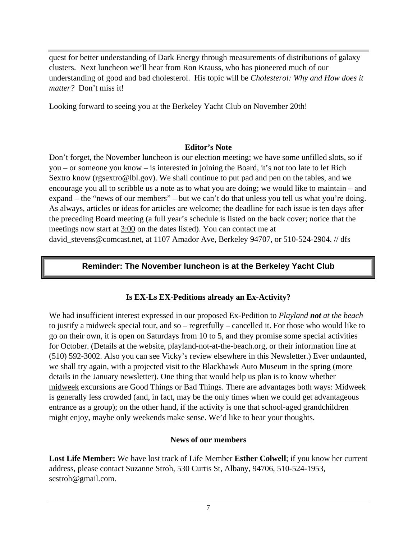quest for better understanding of Dark Energy through measurements of distributions of galaxy clusters. Next luncheon we'll hear from Ron Krauss, who has pioneered much of our understanding of good and bad cholesterol. His topic will be *Cholesterol: Why and How does it matter?* Don't miss it!

Looking forward to seeing you at the Berkeley Yacht Club on November 20th!

#### **Editor's Note**

Don't forget, the November luncheon is our election meeting; we have some unfilled slots, so if you – or someone you know – is interested in joining the Board, it's not too late to let Rich Sextro know (rgsextro@lbl.gov). We shall continue to put pad and pen on the tables, and we encourage you all to scribble us a note as to what you are doing; we would like to maintain – and expand – the "news of our members" – but we can't do that unless you tell us what you're doing. As always, articles or ideas for articles are welcome; the deadline for each issue is ten days after the preceding Board meeting (a full year's schedule is listed on the back cover; notice that the meetings now start at 3:00 on the dates listed). You can contact me at david\_stevens@comcast.net, at 1107 Amador Ave, Berkeley 94707, or 510-524-2904. // dfs

### **Reminder: The November luncheon is at the Berkeley Yacht Club**

#### **Is EX-Ls EX-Peditions already an Ex-Activity?**

We had insufficient interest expressed in our proposed Ex-Pedition to *Playland not at the beach* to justify a midweek special tour, and so – regretfully – cancelled it. For those who would like to go on their own, it is open on Saturdays from 10 to 5, and they promise some special activities for October. (Details at the website, playland-not-at-the-beach.org, or their information line at (510) 592-3002. Also you can see Vicky's review elsewhere in this Newsletter.) Ever undaunted, we shall try again, with a projected visit to the Blackhawk Auto Museum in the spring (more details in the January newsletter). One thing that would help us plan is to know whether midweek excursions are Good Things or Bad Things. There are advantages both ways: Midweek is generally less crowded (and, in fact, may be the only times when we could get advantageous entrance as a group); on the other hand, if the activity is one that school-aged grandchildren might enjoy, maybe only weekends make sense. We'd like to hear your thoughts.

#### **News of our members**

**Lost Life Member:** We have lost track of Life Member **Esther Colwell**; if you know her current address, please contact Suzanne Stroh, 530 Curtis St, Albany, 94706, 510-524-1953, scstroh@gmail.com.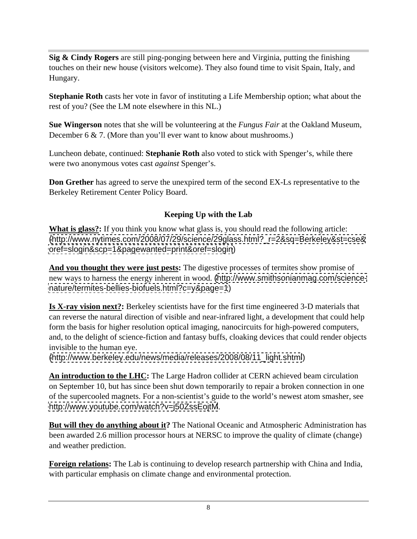**Sig & Cindy Rogers** are still ping-ponging between here and Virginia, putting the finishing touches on their new house (visitors welcome). They also found time to visit Spain, Italy, and Hungary.

**Stephanie Roth** casts her vote in favor of instituting a Life Membership option; what about the rest of you? (See the LM note elsewhere in this NL.)

**Sue Wingerson** notes that she will be volunteering at the *Fungus Fair* at the Oakland Museum, December 6 & 7. (More than you'll ever want to know about mushrooms.)

Luncheon debate, continued: **Stephanie Roth** also voted to stick with Spenger's, while there were two anonymous votes cast *against* Spenger's.

**Don Grether** has agreed to serve the unexpired term of the second EX-Ls representative to the Berkeley Retirement Center Policy Board.

#### **Keeping Up with the Lab**

**What is glass?:** If you think you know what glass is, you should read the following article: [\(http://www.nytimes.com/2008/07/29/science/29glass.html?\\_r=2&sq=Berkeley&st=cse&](http://www.nytimes.com/2008/07/29/science/29glass.html?_r=2&sq=Berkeley&st=cse&) <oref=slogin&scp=1&pagewanted=print&oref=slogin>)

**And you thought they were just pests:** The digestive processes of termites show promise of new ways to harness the energy inherent in wood. [\(http://www.smithsonianmag.com/science](http://www.smithsonianmag.com/science-) <nature/termites-bellies-biofuels.html?c=y&page=1>)

**Is X-ray vision next?:** Berkeley scientists have for the first time engineered 3-D materials that can reverse the natural direction of visible and near-infrared light, a development that could help form the basis for higher resolution optical imaging, nanocircuits for high-powered computers, and, to the delight of science-fiction and fantasy buffs, cloaking devices that could render objects invisible to the human eye.

[\(http://www.berkeley.edu/news/media/releases/2008/08/11\\_light.shtml](http://www.berkeley.edu/news/media/releases/2008/08/11_light.shtml))

**An introduction to the LHC:** The Large Hadron collider at CERN achieved beam circulation on September 10, but has since been shut down temporarily to repair a broken connection in one of the supercooled magnets. For a non-scientist's guide to the world's newest atom smasher, see <http://www.youtube.com/watch?v=j50ZssEojtM>.

**But will they do anything about it?** The National Oceanic and Atmospheric Administration has been awarded 2.6 million processor hours at NERSC to improve the quality of climate (change) and weather prediction.

**Foreign relations:** The Lab is continuing to develop research partnership with China and India, with particular emphasis on climate change and environmental protection.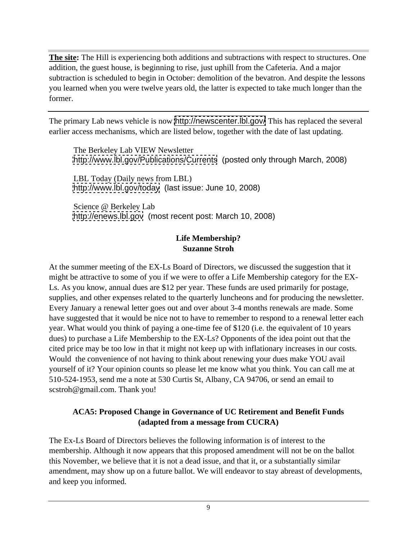**The site:** The Hill is experiencing both additions and subtractions with respect to structures. One addition, the guest house, is beginning to rise, just uphill from the Cafeteria. And a major subtraction is scheduled to begin in October: demolition of the bevatron. And despite the lessons you learned when you were twelve years old, the latter is expected to take much longer than the former.

The primary Lab news vehicle is now <http://newscenter.lbl.gov/> This has replaced the several earlier access mechanisms, which are listed below, together with the date of last updating.

The Berkeley Lab VIEW Newsletter <http://www.lbl.gov/Publications/Currents> (posted only through March, 2008)

LBL Today (Daily news from LBL) <http://www.lbl.gov/today> (last issue: June 10, 2008)

Science @ Berkeley Lab <http://enews.lbl.gov> (most recent post: March 10, 2008)

#### **Life Membership? Suzanne Stroh**

At the summer meeting of the EX-Ls Board of Directors, we discussed the suggestion that it might be attractive to some of you if we were to offer a Life Membership category for the EX- Ls. As you know, annual dues are \$12 per year. These funds are used primarily for postage, supplies, and other expenses related to the quarterly luncheons and for producing the newsletter. Every January a renewal letter goes out and over about 3-4 months renewals are made. Some have suggested that it would be nice not to have to remember to respond to a renewal letter each year. What would you think of paying a one-time fee of \$120 (i.e. the equivalent of 10 years dues) to purchase a Life Membership to the EX-Ls? Opponents of the idea point out that the cited price may be too low in that it might not keep up with inflationary increases in our costs. Would the convenience of not having to think about renewing your dues make YOU avail yourself of it? Your opinion counts so please let me know what you think. You can call me at 510-524-1953, send me a note at 530 Curtis St, Albany, CA 94706, or send an email to scstroh@gmail.com. Thank you!

#### **ACA5: Proposed Change in Governance of UC Retirement and Benefit Funds (adapted from a message from CUCRA)**

The Ex-Ls Board of Directors believes the following information is of interest to the membership. Although it now appears that this proposed amendment will not be on the ballot this November, we believe that it is not a dead issue, and that it, or a substantially similar amendment, may show up on a future ballot. We will endeavor to stay abreast of developments, and keep you informed.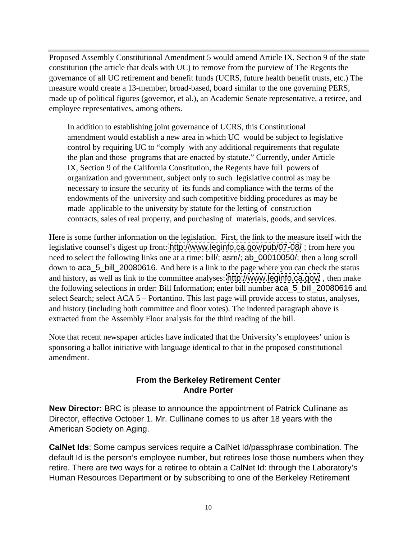Proposed Assembly Constitutional Amendment 5 would amend Article IX, Section 9 of the state constitution (the article that deals with UC) to remove from the purview of The Regents the governance of all UC retirement and benefit funds (UCRS, future health benefit trusts, etc.) The measure would create a 13-member, broad-based, board similar to the one governing PERS, made up of political figures (governor, et al.), an Academic Senate representative, a retiree, and employee representatives, among others.

In addition to establishing joint governance of UCRS, this Constitutional amendment would establish a new area in which UC would be subject to legislative control by requiring UC to "comply with any additional requirements that regulate the plan and those programs that are enacted by statute." Currently, under Article IX, Section 9 of the California Constitution, the Regents have full powers of organization and government, subject only to such legislative control as may be necessary to insure the security of its funds and compliance with the terms of the endowments of the university and such competitive bidding procedures as may be made applicable to the university by statute for the letting of construction contracts, sales of real property, and purchasing of materials, goods, and services.

Here is some further information on the legislation. First, the link to the measure itself with the legislative counsel's digest up front: <http://www.leginfo.ca.gov/pub/07-08/> ; from here you need to select the following links one at a time: bill/; asm/; ab\_00010050/; then a long scroll down to aca\_5\_bill\_20080616. And here is a link to the page where you can check the status and history, as well as link to the committee analyses: <http://www.leginfo.ca.gov/> , then make the following selections in order: Bill Information; enter bill number aca\_5\_bill\_20080616 and select <u>Search</u>; select <u>ACA 5 – Portantino</u>. This last page will provide access to status, analyses, and history (including both committee and floor votes). The indented paragraph above is extracted from the Assembly Floor analysis for the third reading of the bill.

Note that recent newspaper articles have indicated that the University's employees' union is sponsoring a ballot initiative with language identical to that in the proposed constitutional amendment.

#### **From the Berkeley Retirement Center Andre Porter**

**New Director:** BRC is please to announce the appointment of Patrick Cullinane as Director, effective October 1. Mr. Cullinane comes to us after 18 years with the American Society on Aging.

**CalNet Ids**: Some campus services require a CalNet Id/passphrase combination. The default Id is the person's employee number, but retirees lose those numbers when they retire. There are two ways for a retiree to obtain a CalNet Id: through the Laboratory's Human Resources Department or by subscribing to one of the Berkeley Retirement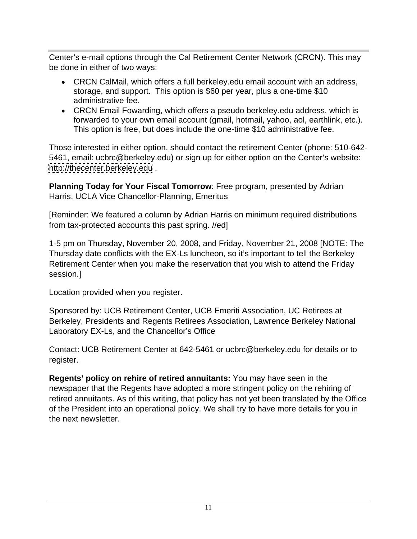Center's e-mail options through the Cal Retirement Center Network (CRCN). This may be done in either of two ways:

- CRCN CalMail, which offers a full berkeley.edu email account with an address, storage, and support. This option is \$60 per year, plus a one-time \$10 administrative fee.
- CRCN Email Fowarding, which offers a pseudo berkeley.edu address, which is forwarded to your own email account (gmail, hotmail, yahoo, aol, earthlink, etc.). This option is free, but does include the one-time \$10 administrative fee.

Those interested in either option, should contact the retirement Center (phone: 510-642- 5461, email: ucbrc@berkeley.edu) or sign up for either option on the Center's website: <http://thecenter.berkeley.edu> .

**Planning Today for Your Fiscal Tomorrow**: Free program, presented by Adrian Harris, UCLA Vice Chancellor-Planning, Emeritus

[Reminder: We featured a column by Adrian Harris on minimum required distributions from tax-protected accounts this past spring. //ed]

1-5 pm on Thursday, November 20, 2008, and Friday, November 21, 2008 [NOTE: The Thursday date conflicts with the EX-Ls luncheon, so it's important to tell the Berkeley Retirement Center when you make the reservation that you wish to attend the Friday session.]

Location provided when you register.

Sponsored by: UCB Retirement Center, UCB Emeriti Association, UC Retirees at Berkeley, Presidents and Regents Retirees Association, Lawrence Berkeley National Laboratory EX-Ls, and the Chancellor's Office

Contact: UCB Retirement Center at 642-5461 or ucbrc@berkeley.edu for details or to register.

**Regents' policy on rehire of retired annuitants:** You may have seen in the newspaper that the Regents have adopted a more stringent policy on the rehiring of retired annuitants. As of this writing, that policy has not yet been translated by the Office of the President into an operational policy. We shall try to have more details for you in the next newsletter.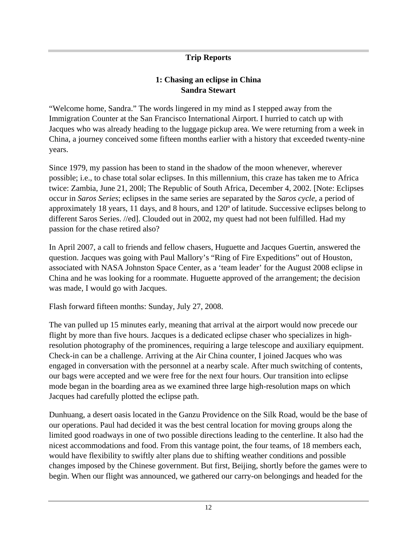#### **Trip Reports**

#### **1: Chasing an eclipse in China Sandra Stewart**

"Welcome home, Sandra." The words lingered in my mind as I stepped away from the Immigration Counter at the San Francisco International Airport. I hurried to catch up with Jacques who was already heading to the luggage pickup area. We were returning from a week in China, a journey conceived some fifteen months earlier with a history that exceeded twenty-nine years.

Since 1979, my passion has been to stand in the shadow of the moon whenever, wherever possible; i.e., to chase total solar eclipses. In this millennium, this craze has taken me to Africa twice: Zambia, June 21, 200l; The Republic of South Africa, December 4, 2002. [Note: Eclipses occur in *Saros Series*; eclipses in the same series are separated by the *Saros cycle*, a period of approximately 18 years, 11 days, and 8 hours, and 120º of latitude. Successive eclipses belong to different Saros Series. //ed]. Clouded out in 2002, my quest had not been fulfilled. Had my passion for the chase retired also?

In April 2007, a call to friends and fellow chasers, Huguette and Jacques Guertin, answered the question. Jacques was going with Paul Mallory's "Ring of Fire Expeditions" out of Houston, associated with NASA Johnston Space Center, as a 'team leader' for the August 2008 eclipse in China and he was looking for a roommate. Huguette approved of the arrangement; the decision was made, I would go with Jacques.

Flash forward fifteen months: Sunday, July 27, 2008.

The van pulled up 15 minutes early, meaning that arrival at the airport would now precede our flight by more than five hours. Jacques is a dedicated eclipse chaser who specializes in highresolution photography of the prominences, requiring a large telescope and auxiliary equipment. Check-in can be a challenge. Arriving at the Air China counter, I joined Jacques who was engaged in conversation with the personnel at a nearby scale. After much switching of contents, our bags were accepted and we were free for the next four hours. Our transition into eclipse mode began in the boarding area as we examined three large high-resolution maps on which Jacques had carefully plotted the eclipse path.

Dunhuang, a desert oasis located in the Ganzu Providence on the Silk Road, would be the base of our operations. Paul had decided it was the best central location for moving groups along the limited good roadways in one of two possible directions leading to the centerline. It also had the nicest accommodations and food. From this vantage point, the four teams, of 18 members each, would have flexibility to swiftly alter plans due to shifting weather conditions and possible changes imposed by the Chinese government. But first, Beijing, shortly before the games were to begin. When our flight was announced, we gathered our carry-on belongings and headed for the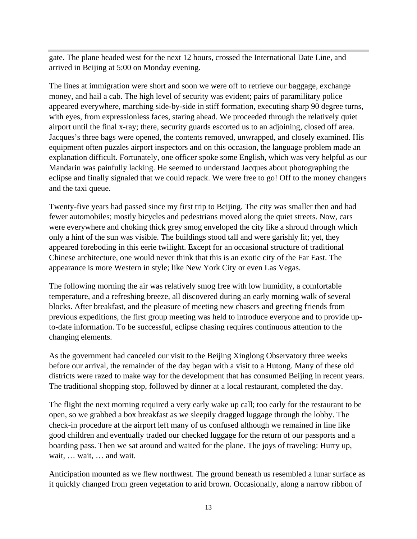gate. The plane headed west for the next 12 hours, crossed the International Date Line, and arrived in Beijing at 5:00 on Monday evening.

The lines at immigration were short and soon we were off to retrieve our baggage, exchange money, and hail a cab. The high level of security was evident; pairs of paramilitary police appeared everywhere, marching side-by-side in stiff formation, executing sharp 90 degree turns, with eyes, from expressionless faces, staring ahead. We proceeded through the relatively quiet airport until the final x-ray; there, security guards escorted us to an adjoining, closed off area. Jacques's three bags were opened, the contents removed, unwrapped, and closely examined. His equipment often puzzles airport inspectors and on this occasion, the language problem made an explanation difficult. Fortunately, one officer spoke some English, which was very helpful as our Mandarin was painfully lacking. He seemed to understand Jacques about photographing the eclipse and finally signaled that we could repack. We were free to go! Off to the money changers and the taxi queue.

Twenty-five years had passed since my first trip to Beijing. The city was smaller then and had fewer automobiles; mostly bicycles and pedestrians moved along the quiet streets. Now, cars were everywhere and choking thick grey smog enveloped the city like a shroud through which only a hint of the sun was visible. The buildings stood tall and were garishly lit; yet, they appeared foreboding in this eerie twilight. Except for an occasional structure of traditional Chinese architecture, one would never think that this is an exotic city of the Far East. The appearance is more Western in style; like New York City or even Las Vegas.

The following morning the air was relatively smog free with low humidity, a comfortable temperature, and a refreshing breeze, all discovered during an early morning walk of several blocks. After breakfast, and the pleasure of meeting new chasers and greeting friends from previous expeditions, the first group meeting was held to introduce everyone and to provide upto-date information. To be successful, eclipse chasing requires continuous attention to the changing elements.

As the government had canceled our visit to the Beijing Xinglong Observatory three weeks before our arrival, the remainder of the day began with a visit to a Hutong. Many of these old districts were razed to make way for the development that has consumed Beijing in recent years. The traditional shopping stop, followed by dinner at a local restaurant, completed the day.

The flight the next morning required a very early wake up call; too early for the restaurant to be open, so we grabbed a box breakfast as we sleepily dragged luggage through the lobby. The check-in procedure at the airport left many of us confused although we remained in line like good children and eventually traded our checked luggage for the return of our passports and a boarding pass. Then we sat around and waited for the plane. The joys of traveling: Hurry up, wait, … wait, … and wait.

Anticipation mounted as we flew northwest. The ground beneath us resembled a lunar surface as it quickly changed from green vegetation to arid brown. Occasionally, along a narrow ribbon of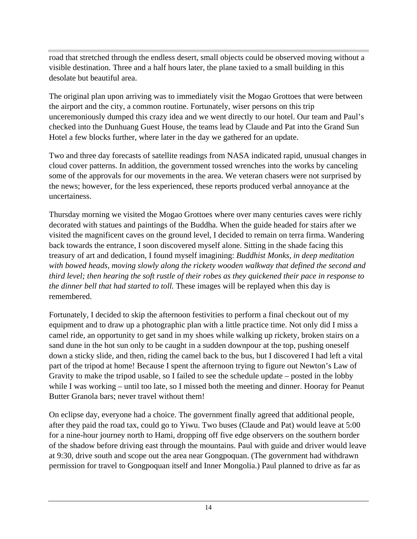road that stretched through the endless desert, small objects could be observed moving without a visible destination. Three and a half hours later, the plane taxied to a small building in this desolate but beautiful area.

The original plan upon arriving was to immediately visit the Mogao Grottoes that were between the airport and the city, a common routine. Fortunately, wiser persons on this trip unceremoniously dumped this crazy idea and we went directly to our hotel. Our team and Paul's checked into the Dunhuang Guest House, the teams lead by Claude and Pat into the Grand Sun Hotel a few blocks further, where later in the day we gathered for an update.

Two and three day forecasts of satellite readings from NASA indicated rapid, unusual changes in cloud cover patterns. In addition, the government tossed wrenches into the works by canceling some of the approvals for our movements in the area. We veteran chasers were not surprised by the news; however, for the less experienced, these reports produced verbal annoyance at the uncertainess.

Thursday morning we visited the Mogao Grottoes where over many centuries caves were richly decorated with statues and paintings of the Buddha. When the guide headed for stairs after we visited the magnificent caves on the ground level, I decided to remain on terra firma. Wandering back towards the entrance, I soon discovered myself alone. Sitting in the shade facing this treasury of art and dedication, I found myself imagining: *Buddhist Monks, in deep meditation with bowed heads, moving slowly along the rickety wooden walkway that defined the second and third level; then hearing the soft rustle of their robes as they quickened their pace in response to the dinner bell that had started to toll.* These images will be replayed when this day is remembered.

Fortunately, I decided to skip the afternoon festivities to perform a final checkout out of my equipment and to draw up a photographic plan with a little practice time. Not only did I miss a camel ride, an opportunity to get sand in my shoes while walking up rickety, broken stairs on a sand dune in the hot sun only to be caught in a sudden downpour at the top, pushing oneself down a sticky slide, and then, riding the camel back to the bus, but I discovered I had left a vital part of the tripod at home! Because I spent the afternoon trying to figure out Newton's Law of Gravity to make the tripod usable, so I failed to see the schedule update – posted in the lobby while I was working – until too late, so I missed both the meeting and dinner. Hooray for Peanut Butter Granola bars; never travel without them!

On eclipse day, everyone had a choice. The government finally agreed that additional people, after they paid the road tax, could go to Yiwu. Two buses (Claude and Pat) would leave at 5:00 for a nine-hour journey north to Hami, dropping off five edge observers on the southern border of the shadow before driving east through the mountains. Paul with guide and driver would leave at 9:30, drive south and scope out the area near Gongpoquan. (The government had withdrawn permission for travel to Gongpoquan itself and Inner Mongolia.) Paul planned to drive as far as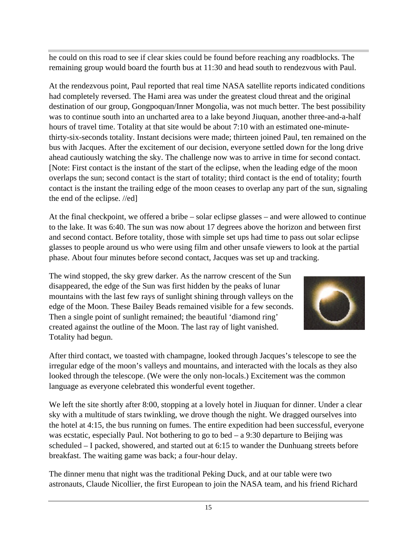he could on this road to see if clear skies could be found before reaching any roadblocks. The remaining group would board the fourth bus at 11:30 and head south to rendezvous with Paul.

At the rendezvous point, Paul reported that real time NASA satellite reports indicated conditions had completely reversed. The Hami area was under the greatest cloud threat and the original destination of our group, Gongpoquan/Inner Mongolia, was not much better. The best possibility was to continue south into an uncharted area to a lake beyond Jiuquan, another three-and-a-half hours of travel time. Totality at that site would be about 7:10 with an estimated one-minutethirty-six-seconds totality. Instant decisions were made; thirteen joined Paul, ten remained on the bus with Jacques. After the excitement of our decision, everyone settled down for the long drive ahead cautiously watching the sky. The challenge now was to arrive in time for second contact. [Note: First contact is the instant of the start of the eclipse, when the leading edge of the moon overlaps the sun; second contact is the start of totality; third contact is the end of totality; fourth contact is the instant the trailing edge of the moon ceases to overlap any part of the sun, signaling the end of the eclipse. //ed]

At the final checkpoint, we offered a bribe – solar eclipse glasses – and were allowed to continue to the lake. It was 6:40. The sun was now about 17 degrees above the horizon and between first and second contact. Before totality, those with simple set ups had time to pass out solar eclipse glasses to people around us who were using film and other unsafe viewers to look at the partial phase. About four minutes before second contact, Jacques was set up and tracking.

The wind stopped, the sky grew darker. As the narrow crescent of the Sun disappeared, the edge of the Sun was first hidden by the peaks of lunar mountains with the last few rays of sunlight shining through valleys on the edge of the Moon. These Bailey Beads remained visible for a few seconds. Then a single point of sunlight remained; the beautiful 'diamond ring' created against the outline of the Moon. The last ray of light vanished. Totality had begun.



After third contact, we toasted with champagne, looked through Jacques's telescope to see the irregular edge of the moon's valleys and mountains, and interacted with the locals as they also looked through the telescope. (We were the only non-locals.) Excitement was the common language as everyone celebrated this wonderful event together.

We left the site shortly after 8:00, stopping at a lovely hotel in Jiuquan for dinner. Under a clear sky with a multitude of stars twinkling, we drove though the night. We dragged ourselves into the hotel at 4:15, the bus running on fumes. The entire expedition had been successful, everyone was ecstatic, especially Paul. Not bothering to go to bed – a 9:30 departure to Beijing was scheduled – I packed, showered, and started out at 6:15 to wander the Dunhuang streets before breakfast. The waiting game was back; a four-hour delay.

The dinner menu that night was the traditional Peking Duck, and at our table were two astronauts, Claude Nicollier, the first European to join the NASA team, and his friend Richard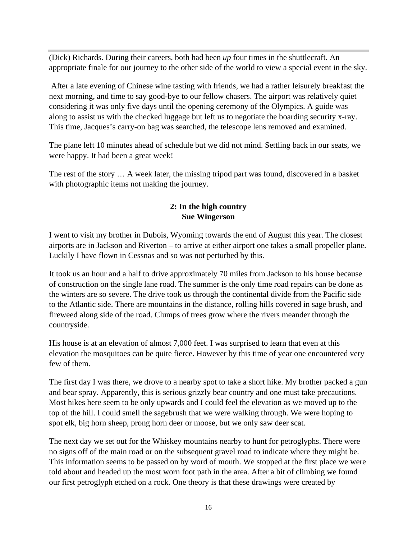(Dick) Richards. During their careers, both had been *up* four times in the shuttlecraft. An appropriate finale for our journey to the other side of the world to view a special event in the sky.

 After a late evening of Chinese wine tasting with friends, we had a rather leisurely breakfast the next morning, and time to say good-bye to our fellow chasers. The airport was relatively quiet considering it was only five days until the opening ceremony of the Olympics. A guide was along to assist us with the checked luggage but left us to negotiate the boarding security x-ray. This time, Jacques's carry-on bag was searched, the telescope lens removed and examined.

The plane left 10 minutes ahead of schedule but we did not mind. Settling back in our seats, we were happy. It had been a great week!

The rest of the story … A week later, the missing tripod part was found, discovered in a basket with photographic items not making the journey.

#### **2: In the high country Sue Wingerson**

I went to visit my brother in Dubois, Wyoming towards the end of August this year. The closest airports are in Jackson and Riverton – to arrive at either airport one takes a small propeller plane. Luckily I have flown in Cessnas and so was not perturbed by this.

It took us an hour and a half to drive approximately 70 miles from Jackson to his house because of construction on the single lane road. The summer is the only time road repairs can be done as the winters are so severe. The drive took us through the continental divide from the Pacific side to the Atlantic side. There are mountains in the distance, rolling hills covered in sage brush, and fireweed along side of the road. Clumps of trees grow where the rivers meander through the countryside.

His house is at an elevation of almost 7,000 feet. I was surprised to learn that even at this elevation the mosquitoes can be quite fierce. However by this time of year one encountered very few of them.

The first day I was there, we drove to a nearby spot to take a short hike. My brother packed a gun and bear spray. Apparently, this is serious grizzly bear country and one must take precautions. Most hikes here seem to be only upwards and I could feel the elevation as we moved up to the top of the hill. I could smell the sagebrush that we were walking through. We were hoping to spot elk, big horn sheep, prong horn deer or moose, but we only saw deer scat.

The next day we set out for the Whiskey mountains nearby to hunt for petroglyphs. There were no signs off of the main road or on the subsequent gravel road to indicate where they might be. This information seems to be passed on by word of mouth. We stopped at the first place we were told about and headed up the most worn foot path in the area. After a bit of climbing we found our first petroglyph etched on a rock. One theory is that these drawings were created by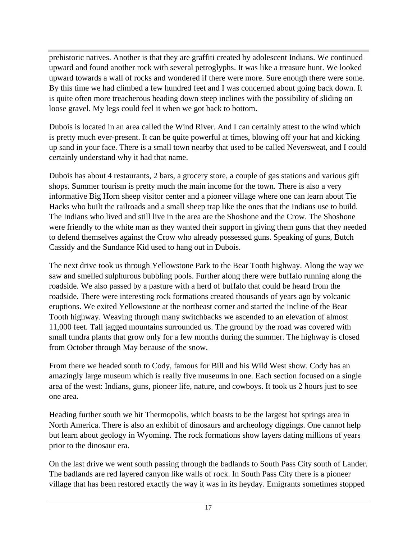prehistoric natives. Another is that they are graffiti created by adolescent Indians. We continued upward and found another rock with several petroglyphs. It was like a treasure hunt. We looked upward towards a wall of rocks and wondered if there were more. Sure enough there were some. By this time we had climbed a few hundred feet and I was concerned about going back down. It is quite often more treacherous heading down steep inclines with the possibility of sliding on loose gravel. My legs could feel it when we got back to bottom.

Dubois is located in an area called the Wind River. And I can certainly attest to the wind which is pretty much ever-present. It can be quite powerful at times, blowing off your hat and kicking up sand in your face. There is a small town nearby that used to be called Neversweat, and I could certainly understand why it had that name.

Dubois has about 4 restaurants, 2 bars, a grocery store, a couple of gas stations and various gift shops. Summer tourism is pretty much the main income for the town. There is also a very informative Big Horn sheep visitor center and a pioneer village where one can learn about Tie Hacks who built the railroads and a small sheep trap like the ones that the Indians use to build. The Indians who lived and still live in the area are the Shoshone and the Crow. The Shoshone were friendly to the white man as they wanted their support in giving them guns that they needed to defend themselves against the Crow who already possessed guns. Speaking of guns, Butch Cassidy and the Sundance Kid used to hang out in Dubois.

The next drive took us through Yellowstone Park to the Bear Tooth highway. Along the way we saw and smelled sulphurous bubbling pools. Further along there were buffalo running along the roadside. We also passed by a pasture with a herd of buffalo that could be heard from the roadside. There were interesting rock formations created thousands of years ago by volcanic eruptions. We exited Yellowstone at the northeast corner and started the incline of the Bear Tooth highway. Weaving through many switchbacks we ascended to an elevation of almost 11,000 feet. Tall jagged mountains surrounded us. The ground by the road was covered with small tundra plants that grow only for a few months during the summer. The highway is closed from October through May because of the snow.

From there we headed south to Cody, famous for Bill and his Wild West show. Cody has an amazingly large museum which is really five museums in one. Each section focused on a single area of the west: Indians, guns, pioneer life, nature, and cowboys. It took us 2 hours just to see one area.

Heading further south we hit Thermopolis, which boasts to be the largest hot springs area in North America. There is also an exhibit of dinosaurs and archeology diggings. One cannot help but learn about geology in Wyoming. The rock formations show layers dating millions of years prior to the dinosaur era.

On the last drive we went south passing through the badlands to South Pass City south of Lander. The badlands are red layered canyon like walls of rock. In South Pass City there is a pioneer village that has been restored exactly the way it was in its heyday. Emigrants sometimes stopped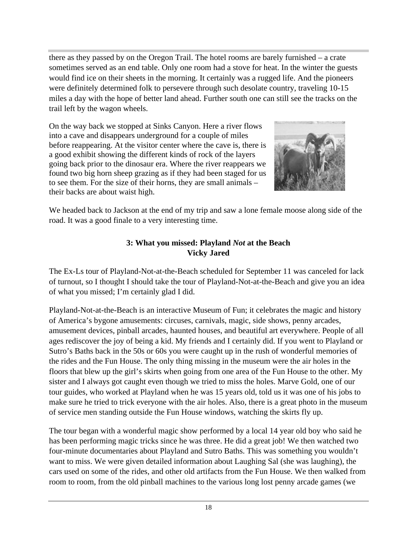there as they passed by on the Oregon Trail. The hotel rooms are barely furnished – a crate sometimes served as an end table. Only one room had a stove for heat. In the winter the guests would find ice on their sheets in the morning. It certainly was a rugged life. And the pioneers were definitely determined folk to persevere through such desolate country, traveling 10-15 miles a day with the hope of better land ahead. Further south one can still see the tracks on the trail left by the wagon wheels.

On the way back we stopped at Sinks Canyon. Here a river flows into a cave and disappears underground for a couple of miles before reappearing. At the visitor center where the cave is, there is a good exhibit showing the different kinds of rock of the layers going back prior to the dinosaur era. Where the river reappears we found two big horn sheep grazing as if they had been staged for us to see them. For the size of their horns, they are small animals – their backs are about waist high.



We headed back to Jackson at the end of my trip and saw a lone female moose along side of the road. It was a good finale to a very interesting time.

#### **3: What you missed: Playland** *Not* **at the Beach Vicky Jared**

The Ex-Ls tour of Playland-Not-at-the-Beach scheduled for September 11 was canceled for lack of turnout, so I thought I should take the tour of Playland-Not-at-the-Beach and give you an idea of what you missed; I'm certainly glad I did.

Playland-Not-at-the-Beach is an interactive Museum of Fun; it celebrates the magic and history of America's bygone amusements: circuses, carnivals, magic, side shows, penny arcades, amusement devices, pinball arcades, haunted houses, and beautiful art everywhere. People of all ages rediscover the joy of being a kid. My friends and I certainly did. If you went to Playland or Sutro's Baths back in the 50s or 60s you were caught up in the rush of wonderful memories of the rides and the Fun House. The only thing missing in the museum were the air holes in the floors that blew up the girl's skirts when going from one area of the Fun House to the other. My sister and I always got caught even though we tried to miss the holes. Marve Gold, one of our tour guides, who worked at Playland when he was 15 years old, told us it was one of his jobs to make sure he tried to trick everyone with the air holes. Also, there is a great photo in the museum of service men standing outside the Fun House windows, watching the skirts fly up.

The tour began with a wonderful magic show performed by a local 14 year old boy who said he has been performing magic tricks since he was three. He did a great job! We then watched two four-minute documentaries about Playland and Sutro Baths. This was something you wouldn't want to miss. We were given detailed information about Laughing Sal (she was laughing), the cars used on some of the rides, and other old artifacts from the Fun House. We then walked from room to room, from the old pinball machines to the various long lost penny arcade games (we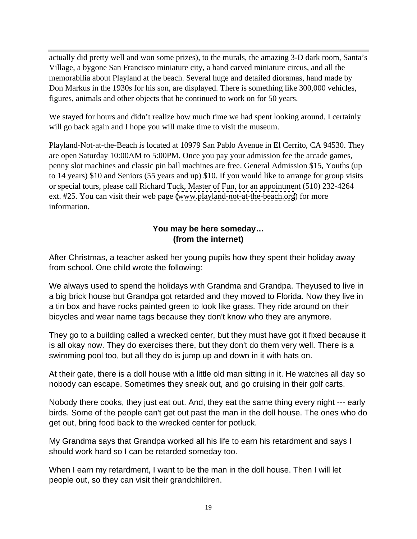actually did pretty well and won some prizes), to the murals, the amazing 3-D dark room, Santa's Village, a bygone San Francisco miniature city, a hand carved miniature circus, and all the memorabilia about Playland at the beach. Several huge and detailed dioramas, hand made by Don Markus in the 1930s for his son, are displayed. There is something like 300,000 vehicles, figures, animals and other objects that he continued to work on for 50 years.

We stayed for hours and didn't realize how much time we had spent looking around. I certainly will go back again and I hope you will make time to visit the museum.

Playland-Not-at-the-Beach is located at 10979 San Pablo Avenue in El Cerrito, CA 94530. They are open Saturday 10:00AM to 5:00PM. Once you pay your admission fee the arcade games, penny slot machines and classic pin ball machines are free. General Admission \$15, Youths (up to 14 years) \$10 and Seniors (55 years and up) \$10. If you would like to arrange for group visits or special tours, please call Richard Tuck, Master of Fun, for an appointment (510) 232-4264 ext. #25. You can visit their web page [\(www.playland-not-at-the-beach.org](http://www.playland-not-at-the-beach.org)) for more information.

### **You may be here someday… (from the internet)**

After Christmas, a teacher asked her young pupils how they spent their holiday away from school. One child wrote the following:

We always used to spend the holidays with Grandma and Grandpa. Theyused to live in a big brick house but Grandpa got retarded and they moved to Florida. Now they live in a tin box and have rocks painted green to look like grass. They ride around on their bicycles and wear name tags because they don't know who they are anymore.

They go to a building called a wrecked center, but they must have got it fixed because it is all okay now. They do exercises there, but they don't do them very well. There is a swimming pool too, but all they do is jump up and down in it with hats on.

At their gate, there is a doll house with a little old man sitting in it. He watches all day so nobody can escape. Sometimes they sneak out, and go cruising in their golf carts.

Nobody there cooks, they just eat out. And, they eat the same thing every night --- early birds. Some of the people can't get out past the man in the doll house. The ones who do get out, bring food back to the wrecked center for potluck.

My Grandma says that Grandpa worked all his life to earn his retardment and says I should work hard so I can be retarded someday too.

When I earn my retardment, I want to be the man in the doll house. Then I will let people out, so they can visit their grandchildren.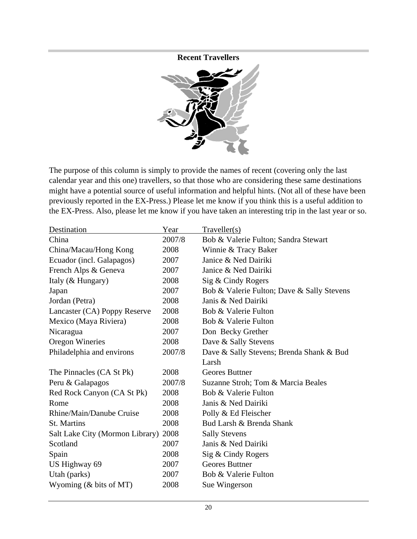**Recent Travellers**



The purpose of this column is simply to provide the names of recent (covering only the last calendar year and this one) travellers, so that those who are considering these same destinations might have a potential source of useful information and helpful hints. (Not all of these have been previously reported in the EX-Press.) Please let me know if you think this is a useful addition to the EX-Press. Also, please let me know if you have taken an interesting trip in the last year or so.

| Destination                          | Year   | Traveller(s)                               |
|--------------------------------------|--------|--------------------------------------------|
| China                                | 2007/8 | Bob & Valerie Fulton; Sandra Stewart       |
| China/Macau/Hong Kong                | 2008   | Winnie & Tracy Baker                       |
| Ecuador (incl. Galapagos)            | 2007   | Janice & Ned Dairiki                       |
| French Alps & Geneva                 | 2007   | Janice & Ned Dairiki                       |
| Italy (& Hungary)                    | 2008   | Sig & Cindy Rogers                         |
| Japan                                | 2007   | Bob & Valerie Fulton; Dave & Sally Stevens |
| Jordan (Petra)                       | 2008   | Janis & Ned Dairiki                        |
| Lancaster (CA) Poppy Reserve         | 2008   | Bob & Valerie Fulton                       |
| Mexico (Maya Riviera)                | 2008   | Bob & Valerie Fulton                       |
| Nicaragua                            | 2007   | Don Becky Grether                          |
| Oregon Wineries                      | 2008   | Dave & Sally Stevens                       |
| Philadelphia and environs            | 2007/8 | Dave & Sally Stevens; Brenda Shank & Bud   |
|                                      |        | Larsh                                      |
| The Pinnacles (CA St Pk)             | 2008   | Geores Buttner                             |
| Peru & Galapagos                     | 2007/8 | Suzanne Stroh; Tom & Marcia Beales         |
| Red Rock Canyon (CA St Pk)           | 2008   | Bob & Valerie Fulton                       |
| Rome                                 | 2008   | Janis & Ned Dairiki                        |
| Rhine/Main/Danube Cruise             | 2008   | Polly & Ed Fleischer                       |
| St. Martins                          | 2008   | Bud Larsh & Brenda Shank                   |
| Salt Lake City (Mormon Library) 2008 |        | <b>Sally Stevens</b>                       |
| Scotland                             | 2007   | Janis & Ned Dairiki                        |
| Spain                                | 2008   | Sig & Cindy Rogers                         |
| US Highway 69                        | 2007   | Geores Buttner                             |
| Utah (parks)                         | 2007   | Bob & Valerie Fulton                       |
| Wyoming (& bits of MT)               | 2008   | Sue Wingerson                              |
|                                      |        |                                            |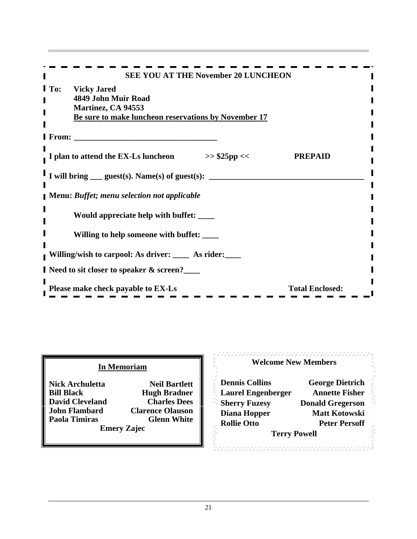|         | <b>SEE YOU AT THE November 20 LUNCHEON</b>                                                                                    |                        |  |
|---------|-------------------------------------------------------------------------------------------------------------------------------|------------------------|--|
|         | <b>I</b> To: Vicky Jared<br>4849 John Muir Road<br>Martinez, CA 94553<br>Be sure to make luncheon reservations by November 17 |                        |  |
| I From: |                                                                                                                               |                        |  |
|         | I plan to attend the EX-Ls luncheon<br>$>>$ \$25pp <<                                                                         | <b>PREPAID</b>         |  |
|         | I will bring $\_\_\$ guest(s). Name(s) of guest(s):                                                                           |                        |  |
|         | Menu: Buffet; menu selection not applicable                                                                                   |                        |  |
|         | Would appreciate help with buffet: ____                                                                                       |                        |  |
|         | Willing to help someone with buffet: ____                                                                                     |                        |  |
|         | Willing/wish to carpool: As driver: ____ As rider: ___                                                                        |                        |  |
|         | Need to sit closer to speaker & screen?__                                                                                     |                        |  |
|         | Please make check payable to $EX-Ls$                                                                                          | <b>Total Enclosed:</b> |  |

| <b>Nick Archuletta</b> | Ne                 |
|------------------------|--------------------|
| <b>Bill Black</b>      | Hugh               |
| <b>David Cleveland</b> | Ch:                |
| <b>John Flambard</b>   | Clarence           |
| Paola Timiras          | Gk                 |
|                        | <b>Emery Zaiec</b> |

# **In Memoriam Theory Company Company Company Company Welcome New Members**

| <b>Dennis Collins</b> | <b>George Dietrich</b>                                                                                                              |                                                  |
|-----------------------|-------------------------------------------------------------------------------------------------------------------------------------|--------------------------------------------------|
|                       | <b>Annette Fisher</b>                                                                                                               |                                                  |
| <b>Sherry Fuzesy</b>  | <b>Donald Gregerson</b>                                                                                                             |                                                  |
|                       | <b>Matt Kotowski</b>                                                                                                                |                                                  |
| <b>Rollie Otto</b>    | <b>Peter Persoff</b>                                                                                                                |                                                  |
|                       |                                                                                                                                     |                                                  |
|                       | <b>Neil Bartlett</b><br><b>Hugh Bradner</b><br><b>Charles Dees</b><br><b>Clarence Olauson</b><br>Diana Hopper<br><b>Glenn White</b> | <b>Laurel Engenberger</b><br><b>Terry Powell</b> |